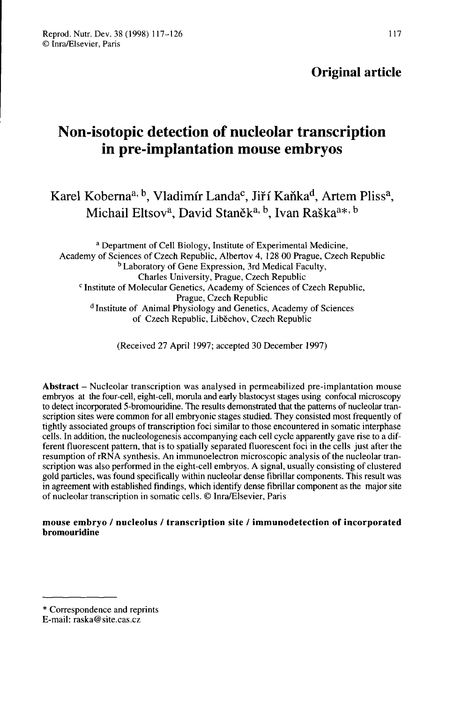# Non-isotopic detection of nucleolar transcription in pre-implantation mouse embryos

Karel Koberna<sup>a, b</sup>. Vladimír Landa<sup>c</sup>, Jiří Kaňka<sup>d</sup>, Artem Pliss<sup>a</sup>, Michail Eltsov<sup>a</sup>, David Staněk<sup>a, b</sup>. Ivan Raška<sup>a\*, b</sup>

a Department of Cell Biology, Institute of Experimental Medicine, Academy of Sciences of Czech Republic, Albertov 4, 128 00 Prague, Czech Republic b Laboratory of Gene Expression, 3rd Medical Faculty, a Def<br>emy of Se<br><sup>c</sup> Institute Charles University, Prague, Czech Republic <sup>c</sup> Institute of Molecular Genetics, Academy of Sciences of Czech Republic,<br>Prague. Czech Republic  $d$  Institute of Animal Physiology and Genetics, Academy of Sciences of Czech Republic, Liběchov, Czech Republic

(Received 27 April 1997; accepted 30 December 1997)

Abstract - Nucleolar transcription was analysed in permeabilized pre-implantation mouse embryos at the four-cell, eight-cell, morula and early blastocyst stages using confocal microscopy to detect incorporated 5-bromouridine. The results demonstrated that the patterns of nucleolar transcription sites were common for all embryonic stages studied. They consisted most frequently of tightly associated groups of transcription foci similar to those encountered in somatic interphase cells. In addition, the nucleologenesis accompanying each cell cycle apparently gave rise to a different fluorescent pattern, that is to spatially separated fluorescent foci in the cells just after the resumption of rRNA synthesis. An immunoelectron microscopic analysis of the nucleolar transcription was also performed in the eight-cell embryos. A signal, usually consisting of clustered gold particles, was found specifically within nucleolar dense fibrillar components. This result was in agreement with established findings, which identify dense fibrillar component as the major site of nucleolar transcription in somatic cells. © Inra/Elsevier, Paris

mouse embryo / nucleolus / transcription site / immunodetection of incorporated bromouridine

<sup>\*</sup> Correspondence and reprints

E-mail: raska@site.cas.cz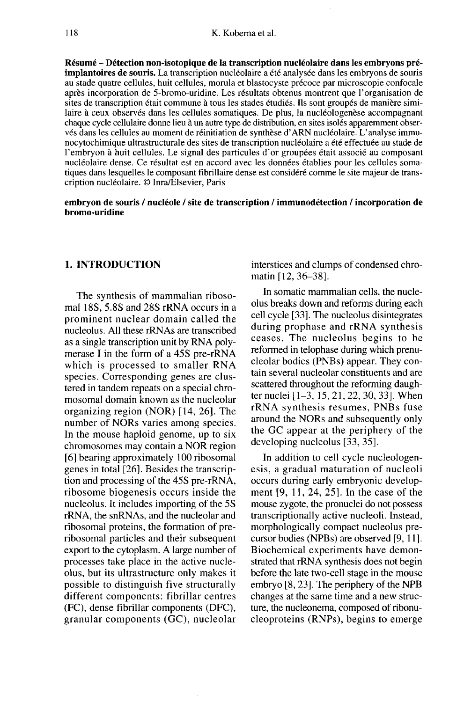Résumé - Détection non-isotopique de la transcription nucléolaire dans les embryons préimplantoires de souris. La transcription nucléolaire a été analysée dans les embryons de souris au stade quatre cellules, huit cellules, morula et blastocyste précoce par microscopie confocale après incorporation de 5-bromo-uridine. Les résultats obtenus montrent que l'organisation de sites de transcription était commune à tous les stades étudiés. Ils sont groupés de manière similaire à ceux observés dans les cellules somatiques. De plus, la nucléologenèse accompagnant chaque cycle cellulaire donne lieu à un autre type de distribution, en sites isolés apparemment observés dans les cellules au moment de réinitiation de synthèse d'ARN nucléolaire. L'analyse immunocytochimique ultrastructurale des sites de transcription nucléolaire a été effectuée au stade de l'embryon à huit cellules. Le signal des particules d'or groupées était associé au composant nucléolaire dense. Ce résultat est en accord avec les données établies pour les cellules somatiques dans lesquelles le composant fibrillaire dense est considéré comme le site majeur de transcription nucléolaire. © Inra/Elsevier, Paris

## embryon de souris / nucléole / site de transcription / immunodétection / incorporation de bromo-uridine

# 1. INTRODUCTION

The synthesis of mammalian ribosomal 18S, 5.8S and 28S rRNA occurs in a prominent nuclear domain called the nucleolus. All these rRNAs are transcribed as a single transcription unit by RNA poly merase I in the form of a 45S pre-rRNA which is processed to smaller RNA species. Corresponding genes are clustered in tandem repeats on a special chromosomal domain known as the nucleolar organizing region (NOR) [14, 26]. The number of NORs varies among species. In the mouse haploid genome, up to six chromosomes may contain a NOR region [6] bearing approximately 100 ribosomal genes in total [26]. Besides the transcription and processing of the 45S pre-rRNA, ribosome biogenesis occurs inside the nucleolus. It includes importing of the 5S rRNA, the snRNAs, and the nucleolar and ribosomal proteins, the formation of preribosomal particles and their subsequent export to the cytoplasm. A large number of processes take place in the active nucleolus, but its ultrastructure only makes it possible to distinguish five structurally different components: fibrillar centres (FC), dense fibrillar components (DFC), granular components (GC), nucleolar interstices and clumps of condensed chromatin [12, 36-38].

In somatic mammalian cells, the nucleolus breaks down and reforms during each cell cycle [33]. The nucleolus disintegrates during prophase and rRNA synthesis ceases. The nucleolus begins to be reformed in telophase during which prenucleolar bodies (PNBs) appear. They contain several nucleolar constituents and are scattered throughout the reforming daugh-<br>ter nuclei  $[1-3, 15, 21, 22, 30, 33]$ . When rRNA synthesis resumes, PNBs fuse around the NORs and subsequently only the GC appear at the periphery of the developing nucleolus [33, 35].

In addition to cell cycle nucleologenesis, a gradual maturation of nucleoli occurs during early embryonic develop ment  $[9, 11, 24, 25]$ . In the case of the mouse zygote, the pronuclei do not possess transcriptionally active nucleoli. Instead, morphologically compact nucleolus precursor bodies (NPBs) are observed [9, 11 ]. Biochemical experiments have demonstrated that rRNA synthesis does not begin before the late two-cell stage in the mouse embryo [8, 23]. The periphery of the NPB changes at the same time and a new structure, the nucleonema, composed of ribonucleoproteins (RNPs), begins to emerge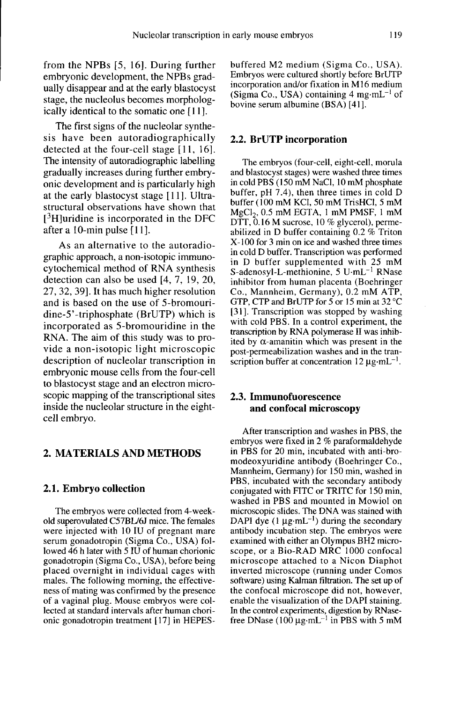from the NPBs [5, 16]. During further embryonic development, the NPBs gradually disappear and at the early blastocyst stage, the nucleolus becomes morphologically identical to the somatic one [11].

The first signs of the nucleolar synthesis have been autoradiographically detected at the four-cell stage [11, 16]. The intensity of autoradiographic labelling gradually increases during further embryonic development and is particularly high at the early blastocyst stage [11]. Ultrastructural observations have shown that The intensity<br>gradually in<br>onic develop<br>at the early<br>structural of<br>[<sup>3</sup>H]uridine<br>after a 10-m  $1<sup>3</sup>H$  luridine is incorporated in the DFC after a 10-min pulse  $[11]$ .

As an alternative to the autoradiographic approach, a non-isotopic immunocytochemical method of RNA synthesis detection can also be used [4, 7, 19, 20, 27, 32, 39]. It has much higher resolution and is based on the use of 5-bromouridine-5'-triphosphate (BrUTP) which is incorporated as 5-bromouridine in the RNA. The aim of this study was to provide a non-isotopic light microscopic description of nucleolar transcription in embryonic mouse cells from the four-cell to blastocyst stage and an electron microscopic mapping of the transcriptional sites inside the nucleolar structure in the eightcell embryo.

# 2. MATERIALS AND METHODS

#### 2.1. Embryo collection

The embryos were collected from 4-weekold superovulated C57BL/6J mice. The females were injected with 10 IU of pregnant mare serum gonadotropin (Sigma Co., USA) followed 46 h later with 5 IU of human chorionic gonadotropin (Sigma Co., USA), before being placed overnight in individual cages with males. The following morning, the effectiveness of mating was confirmed by the presence of a vaginal plug. Mouse embryos were collected at standard intervals after human chorionic gonadotropin treatment [17] in HEPES-

buffered M2 medium (Sigma Co., USA). Embryos were cultured shortly before BrUTP incorporation and/or fixation in M16 medium (Sigma Co., USA) containing  $4 \text{ mg} \cdot \text{mL}^{-1}$  of bovine serum albumine (BSA) [41].

## 2.2. BrUTP incorporation

The embryos (four-cell, eight-cell, morula Ine embryos (foul-cent, eight-cent, mortua<br>and blastocyst stages) were washed three times<br>in cold PBS (150 mM NaCl, 10 mM phosphate<br>buffer, pH 7.4), then three times in cold D<br>buffer (100 mM KCl, 50 mM TrisHCl, 5 mM<br>MgCl<sub>2</sub> in cold PBS (150 mM NaC). 10 mM phosphate buffer, pH 7.4), then three times in cold D buffer (100 mM KCl, 50 mM TrisHCl, 5 mM<br>MgCl<sub>2</sub>, 0.5 mM EGTA, 1 mM PMSF, 1 mM DTT, 0.16 M sucrose, 10 % glycerol), permeabilized in D buffer containing 0.2 % Triton X-100 for 3 min on ice and washed three times in cold D buffer. Transcription was performed in D buffer supplemented with 25 mM S-adenosyl-L-methionine,  $5 \text{ U} \cdot \text{m} \text{L}^{-1} \text{ RNase}$ inhibitor from human placenta (Boehringer Co., Mannheim, Germany), 0.2 mM ATP, GTP, CTP and BrUTP for 5 or 15 min at 32 °C [31]. Transcription was stopped by washing with cold PBS. In a control experiment, the transcription by RNA polymerase II was inhibited by  $\alpha$ -amanitin which was present in the post-permeabilization washes and in the tran-<br>scription buffer at concentration  $12 \mu \text{g} \cdot \text{mL}^{-1}$ . with cold FBS. In a collitor experiment, the<br>transcription by RNA polymerase II was inhib-<br>ited by  $\alpha$ -amanitin which was present in the<br>post-permeabilization washes and in the tran-<br>scription buffer at concentration 12

# 2.3. Immunofuorescence and confocal microscopy

After transcription and washes in PBS, the embryos were fixed in 2 % paraformaldehyde in PBS for 20 min, incubated with anti-bromodeoxyuridine antibody (Boehringer Co., Mannheim, Germany) for 150 min, washed in PBS, incubated with the secondary antibody conjugated with FITC or TRITC for 150 min, washed in PBS and mounted in Mowiol on microscopic slides. The DNA was stained with DAPI dye (1  $\mu$ g·mL<sup>-1</sup>) during the secondary antibody incubation step. The embryos were examined with either an Olympus BH2 microscope, or a Bio-RAD MRC 1000 confocal microscope attached to a Nicon Diaphot inverted microscope (running under Comos software) using Kalman filtration. The set up of the confocal microscope did not, however, enable the visualization of the DAPI staining. In the control experiments, digestion by RNasefree DNase (100  $\mu$ g·mL<sup>-1</sup> in PBS with 5 mM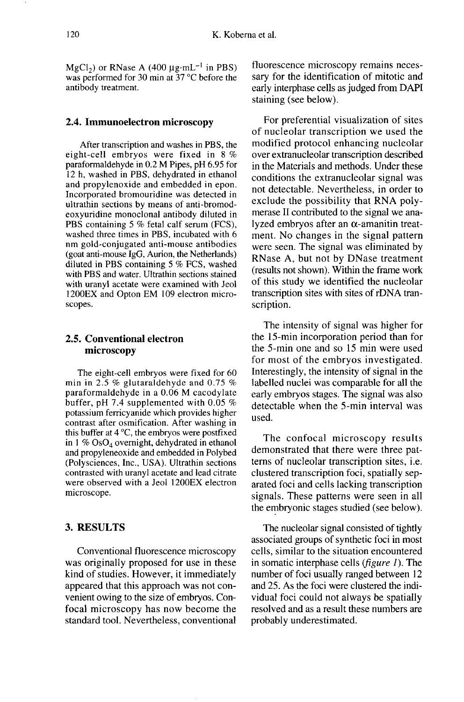120 K. Koberna et al.<br>MgCl<sub>2</sub>) or RNase A (400  $\mu$ g·mL<sup>-1</sup> in PBS) fluore<br>was performed for 30 min at 37 °C before the sary f antibody treatment.

## 2.4. Immunoelectron microscopy

After transcription and washes in PBS, the eight-cell embryos were fixed in 8 % paraformaldehyde in 0.2 M Pipes, pH 6.95 for 12 h, washed in PBS, dehydrated in ethanol and propylenoxide and embedded in epon. Incorporated bromouridine was detected in ultrathin sections by means of anti-bromodeoxyuridine monoclonal antibody diluted in PBS containing 5 % fetal calf serum (FCS), washed three times in PBS, incubated with 6 nm gold-conjugated anti-mouse antibodies (goat anti-mouse IgG, Aurion, the Netherlands) diluted in PBS containing 5 % FCS, washed with PBS and water. Ultrathin sections stained with uranyl acetate were examined with Jeol 1200EX and Opton EM 109 electron microscopes.

## 2.5. Conventional electron microscopy

The eight-cell embryos were fixed for 60 min in 2.5 % glutaraldehyde and 0.75 % paraformaldehyde in a 0.06 M cacodylate buffer, pH 7.4 supplemented with 0.05 % potassium ferricyanide which provides higher contrast after osmification. After washing in this buffer at  $4^{\circ}$ C, the embryos were postfixed in 1 %  $OsO<sub>4</sub>$  overnight, dehydrated in ethanol and propyleneoxide and embedded in Polybed (Polysciences, Inc., USA). Ultrathin sections contrasted with uranyl acetate and lead citrate were observed with a Jeol 1200EX electron microscope.

## 3. RESULTS

Conventional fluorescence microscopy was originally proposed for use in these kind of studies. However, it immediately appeared that this approach was not convenient owing to the size of embryos. Confocal microscopy has now become the standard tool. Nevertheless, conventional fluorescence microscopy remains necessary for the identification of mitotic and early interphase cells as judged from DAPI staining (see below).

For preferential visualization of sites of nucleolar transcription we used the modified protocol enhancing nucleolar over extranucleolar transcription described in the Materials and methods. Under these conditions the extranucleolar signal was not detectable. Nevertheless, in order to exclude the possibility that RNA poly merase II contributed to the signal we analyzed embryos after an  $\alpha$ -amanitin treatment. No changes in the signal pattern were seen. The signal was eliminated by RNase A, but not by DNase treatment (results not shown). Within the frame work of this study we identified the nucleolar transcription sites with sites of rDNA transcription.

The intensity of signal was higher for the 15-min incorporation period than for the 5-min one and so 15 min were used for most of the embryos investigated. Interestingly, the intensity of signal in the labelled nuclei was comparable for all the early embryos stages. The signal was also detectable when the 5-min interval was used.

The confocal microscopy results demonstrated that there were three pat terns of nucleolar transcription sites, i.e. clustered transcription foci, spatially separated foci and cells lacking transcription signals. These patterns were seen in all the embryonic stages studied (see below).

The nucleolar signal consisted of tightly associated groups of synthetic foci in most cells, similar to the situation encountered in somatic interphase cells (*figure 1*). The number of foci usually ranged between 12 and 25. As the foci were clustered the individual foci could not always be spatially resolved and as a result these numbers are probably underestimated.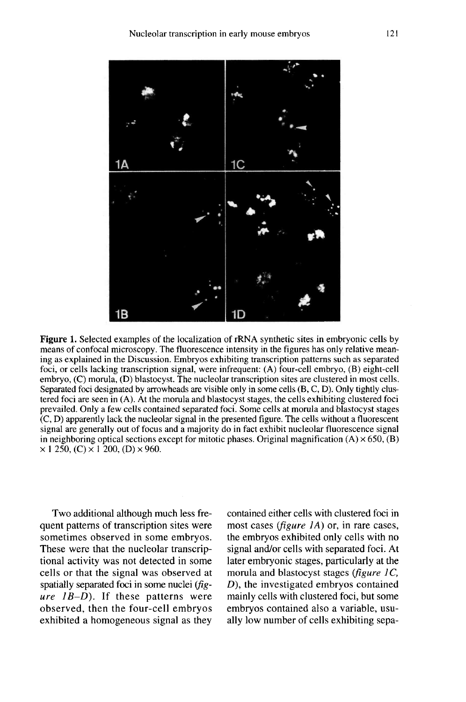

**Figure 1.** Selected examples of the localization of rRNA synthetic sites in embryonic cells by means of confocal microscopy. The fluorescence intensity in the figures has only relative meaning as explained in the Discussion. Embryos exhibiting transcription patterns such as separated foci, or cells lacking transcription signal, were infrequent: (A) four-cell embryo, (B) eight-cell embryo, (C) morula, (D) blastocyst. The nucleolar transcription sites are clustered in most cells. Separated foci designated by arrowheads are visible only in some cells (B, C, D). Only tightly clustered foci are seen in (A). At the morula and blastocyst stages, the cells exhibiting clustered foci prevailed. Only a few cells contained separated foci. Some cells at morula and blastocyst stages  $(C, D)$  apparently lack the nucleolar signal in the presented figure. The cells without a fluorescent signal are generally out of focus and a majority do in fact exhibit nucleolar fluorescence signal in neighboring optical sections except for mitotic phases. Original magnification (A)  $\times$  650, (B)  $\times$  1 250, (C)  $\times$  1 200, (D)  $\times$  960.

Two additional although much less frequent patterns of transcription sites were sometimes observed in some embryos. These were that the nucleolar transcriptional activity was not detected in some cells or that the signal was observed at spatially separated foci in some nuclei ( $fig-ure$   $1B-D$ ). If these patterns were observed, then the four-cell embryos exhibited a homogeneous signal as they contained either cells with clustered foci in most cases (*figure 1A*) or, in rare cases, the embryos exhibited only cells with no signal and/or cells with separated foci. At later embryonic stages, particularly at the morula and blastocyst stages (figure  $1C$ , D), the investigated embryos contained mainly cells with clustered foci, but some embryos contained also a variable, usually low number of cells exhibiting sepa-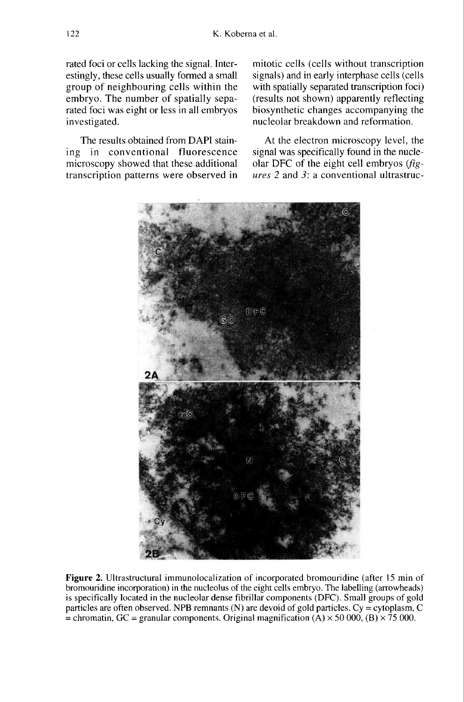rated foci or cells lacking the signal. Interestingly, these cells usually formed a small group of neighbouring cells within the embryo. The number of spatially separated foci was eight or less in all embryos investigated.

The results obtained from DAPI staining in conventional fluorescence microscopy showed that these additional transcription patterns were observed in mitotic cells (cells without transcription signals) and in early interphase cells (cells with spatially separated transcription foci) (results not shown) apparently reflecting biosynthetic changes accompanying the nucleolar breakdown and reformation.

At the electron microscopy level, the signal was specifically found in the nucleolar DFC of the eight cell embryos (fig ures 2 and 3: a conventional ultrastruc-



Figure 2. Ultrastructural immunolocalization of incorporated bromouridine (after 15 min of bromouridine incorporation) in the nucleolus of the eight cells embryo. The labelling (arrowheads) is specifically located in the nucleolar dense fibrillar components (DFC). Small groups of gold particles are often observed. NPB remnants (N) are devoid of gold particles.  $Cy = cytoplasm$ ,  $C$ = chromatin, GC = granular components. Original magnification (A)  $\times$  50 000, (B)  $\times$  75 000.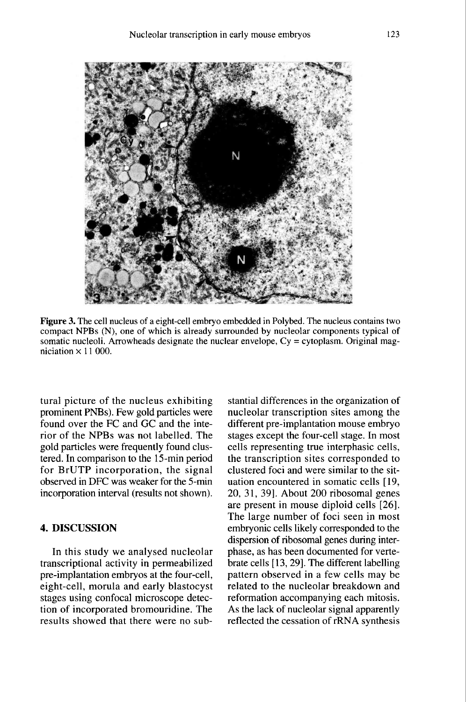

Figure 3. The cell nucleus of a eight-cell embryo embedded in Polybed. The nucleus contains two compact NPBs (N), one of which is already surrounded by nucleolar components typical of somatic nucleoli. Arrowheads designate the nuclear envelope,  $Cy = cytoplasm$ . Original magniciation  $\times$  11 000.

tural picture of the nucleus exhibiting prominent PNBs). Few gold particles were found over the FC and GC and the interior of the NPBs was not labelled. The gold particles were frequently found clustered. In comparison to the 15-min period for BrUTP incorporation, the signal observed in DFC was weaker for the 5-min incorporation interval (results not shown).

# 4. DISCUSSION

In this study we analysed nucleolar transcriptional activity in permeabilized pre-implantation embryos at the four-cell, eight-cell, morula and early blastocyst stages using confocal microscope detection of incorporated bromouridine. The results showed that there were no sub-

stantial differences in the organization of nucleolar transcription sites among the different pre-implantation mouse embryo stages except the four-cell stage. In most cells representing true interphasic cells, the transcription sites corresponded to clustered foci and were similar to the situation encountered in somatic cells [19, 20, 31, 39]. About 200 ribosomal genes are present in mouse diploid cells [26]. The large number of foci seen in most embryonic cells likely corresponded to the dispersion of ribosomal genes during interphase, as has been documented for vertebrate cells [ 13, 29]. The different labelling pattern observed in a few cells may be related to the nucleolar breakdown and reformation accompanying each mitosis. As the lack of nucleolar signal apparently reflected the cessation of rRNA synthesis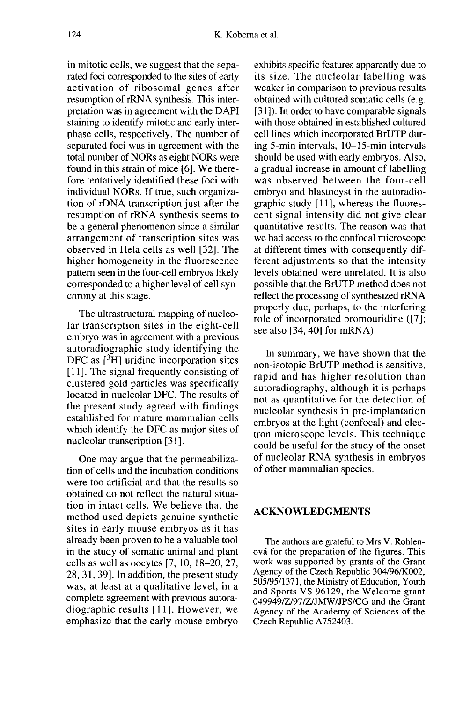in mitotic cells, we suggest that the separated foci corresponded to the sites of early activation of ribosomal genes after resumption of rRNA synthesis. This interpretation was in agreement with the DAPI staining to identify mitotic and early interphase cells, respectively. The number of separated foci was in agreement with the total number of NORs as eight NORs were found in this strain of mice [6]. We therefore tentatively identified these foci with individual NORs. If true, such organization of rDNA transcription just after the resumption of rRNA synthesis seems to be a general phenomenon since a similar arrangement of transcription sites was observed in Hela cells as well [32]. The higher homogeneity in the fluorescence pattern seen in the four-cell embryos likely corresponded to a higher level of cell synchrony at this stage.

The ultrastructural mapping of nucleolar transcription sites in the eight-cell embryo was in agreement with a previous autoradiographic study identifying the DFC as [3H] uridine incorporation sites [11]. The signal frequently consisting of clustered gold particles was specifically located in nucleolar DFC. The results of the present study agreed with findings established for mature mammalian cells which identify the DFC as major sites of nucleolar transcription [31].

One may argue that the permeabilization of cells and the incubation conditions were too artificial and that the results so obtained do not reflect the natural situation in intact cells. We believe that the method used depicts genuine synthetic sites in early mouse embryos as it has already been proven to be a valuable tool in the study of somatic animal and plant cells as well as oocytes [7, 10, 18-20, 27, 28, 31, 39]. In addition, the present study was, at least at a qualitative level, in a complete agreement with previous autoradiographic results [11]. However, we emphasize that the early mouse embryo

exhibits specific features apparently due to its size. The nucleolar labelling was weaker in comparison to previous results obtained with cultured somatic cells (e.g. [31]). In order to have comparable signals with those obtained in established cultured cell lines which incorporated BrUTP during 5-min intervals, 10-15-min intervals should be used with early embryos. Also, a gradual increase in amount of labelling was observed between the four-cell embryo and blastocyst in the autoradiographic study [11], whereas the fluorescent signal intensity did not give clear quantitative results. The reason was that we had access to the confocal microscope at different times with consequently different adjustments so that the intensity levels obtained were unrelated. It is also possible that the BrUTP method does not reflect the processing of synthesized rRNA properly due, perhaps, to the interfering role of incorporated bromouridine ([7]; see also [34, 40] for mRNA).

In summary, we have shown that the non-isotopic BrUTP method is sensitive, rapid and has higher resolution than autoradiography, although it is perhaps not as quantitative for the detection of nucleolar synthesis in pre-implantation embryos at the light (confocal) and electron microscope levels. This technique could be useful for the study of the onset of nucleolar RNA synthesis in embryos of other mammalian species.

# ACKNOWLEDGMENTS

The authors are grateful to Mrs V. Rohlenova for the preparation of the figures. This work was supported by grants of the Grant Agency of the Czech Republic 304/96/K002, 505/95/1371, the Ministry of Education, Youth and Sports VS 96129, the Welcome grant 049949/Z/97/Z/JMW/JPS/CG and the Grant Agency of the Academy of Sciences of the Czech Republic A752403.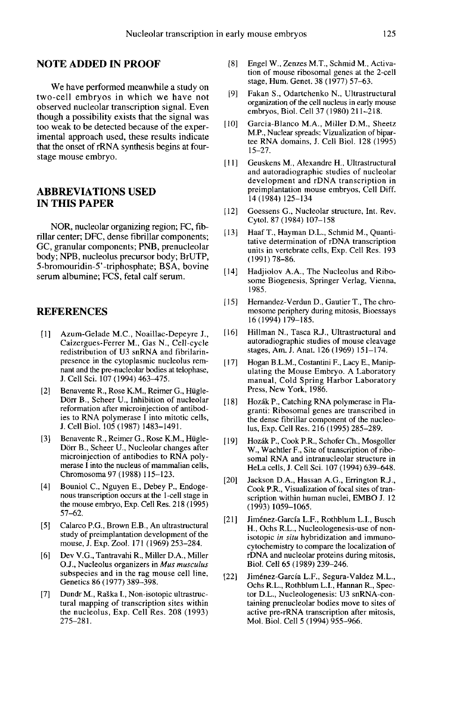## NOTE ADDED IN PROOF

We have performed meanwhile a study on two-cell embryos in which we have not observed nucleolar transcription signal. Even though a possibility exists that the signal was too weak to be detected because of the experimental approach used, these results indicate that the onset of rRNA synthesis begins at fourstage mouse embryo.

# ABBREVIATIONS USED IN THIS PAPER

NOR, nucleolar organizing region; FC, fibrillar center; DFC, dense fibrillar components; GC, granular components; PNB, prenucleolar body; NPB, nucleolus precursor body; BrUTP, 5-bromouridin-5'-triphosphate; BSA, bovine serum albumine; FCS, fetal calf serum.

#### **REFERENCES**

- (1] ]Azum-Gelade M.C., Noaillac-Depeyre J., Caizergues-Ferrer M., Gas N., Cell-cycle redistribution of U3 snRNA and fibrilarinpresence in the cytoplasmic nucleolus remnant and the pre-nucleolar bodies at telophase, J. Cell Sci. 107 (1994) 463-475.
- [2] Benavente R., Rose K.M., Reimer G., Hügle-D6rr B., Scheer U., Inhibition of nucleolar reformation after microinjection of antibodies to RNA polymerase I into mitotic cells, J. Cell Biol. 105 (1987) 1483-1491.
- [3] Benavente R., Reimer G., Rose K.M., Hügle-D6rr B., Scheer U., Nucleolar changes after microinjection of antibodies to RNA poly merase I into the nucleus of mammalian cells, Chromosoma 97 (1988) 115-123.
- [4] Bouniol C., Nguyen E., Debey P., Endoge nous transcription occurs at the 1-cell stage in the mouse embryo, Exp. Cell Res. 218 (1995) 57-62.
- [5] Calarco P.G., Brown E.B., An ultrastructural study of preimplantation development of the mouse, J. Exp. Zool. 171 (1969) 253-284.
- [6] Dev V.G., Tantravahi R., Miller D.A., Miller O.J., Nucleolus organizers in Mus musculus subspecies and in the rag mouse cell line, Genetics 86 (1977) 389-398.
- [7] Dundr M., Raška I., Non-isotopic ultrastructural mapping of transcription sites within the nucleolus, Exp. Cell Res. 208 (1993)  $275 - 281$ .
- [8] Engel W., Zenzes M.T., Schmid M., Activation of mouse ribosomal genes at the 2-cell stage, Hum. Genet. 38 (1977) 57-63.
- [9] Fakan S., Odartchenko N., Ultrastructural organization of the cell nucleus in early mouse embryos, Biol. Cell 37 (1980) 211-218.
- [10] Garcia-Blanco M.A., Miller D.M., Sheetz M.P., Nuclear spreads: Vizualization of bipar-<br>tee RNA domains, J. Cell Biol. 128 (1995) 15-27.
- [11] Geuskens M., Alexandre H., Ultrastructural and autoradiographic studies of nucleolar development and rDNA transcription in preimplantation mouse embryos, Cell Diff. 14 ( 1984) 125-134
- [12] Goessens G., Nucleolar structure, Int. Rev. Cytol. 87 (1984) 107-158
- [13] Haaf T., Hayman D.L., Schmid M., Quantitative determination of rDNA transcription units in vertebrate cells, Exp. Cell Res. 193  $(1991)$  78-86.
- [14] Hadjiolov A.A., The Nucleolus and Ribosome Biogenesis, Springer Verlag, Vienna, 1985.
- [ 15] Hernandez-Verdun D., Gautier T., The chromosome periphery during mitosis, Bioessays 16(1994)179-185.
- [16] Hillman N., Tasca R.J., Ultrastructural and autoradiographic studies of mouse cleavage stages, Am. J. Anat. 126 (1969) 151-174.
- [ 17] Hogan B.L.M., Costantini F., Lacy E., Manipulating the Mouse Embryo. A Laboratory manual, Cold Spring Harbor Laboratory Press, New York, 1986.
- [18] Hozák P., Catching RNA polymerase in Flagranti: Ribosomal genes are transcribed in the dense fibrillar component of the nucleolus, Exp. Cell Res. 216 (1995) 285-289.
- [19] Hozák P., Cook P.R., Schofer Ch., Mosgoller W., Wachtler F., Site of transcription of ribosomal RNA and intranucleolar structure in HeLa cells, J. Cell Sci. 107 (1994) 639-648.
- [20] Jackson D.A., Hassan A.G., Errington R.J., Cook P.R., Visualization of focal sites of transcription within human nuclei, EMBO J. 12 (1993)1059-1065.
- [21] Jiménez-García L.F., Rothblum L.I., Busch H., Ochs R.L., Nucleologenesis-use of nonisotopic in situ hybridization and immunocytochemistry to compare the localization of rDNA and nucleolar proteins during mitosis, Biol. Cell 65 (1989) 239-246.
- [22] Jim6nez-Garcia L.F., Segura-Valdez M.L., tor D.L., Nucleologenesis: U3 snRNA-containing prenucleolar bodies move to sites of active pre-rRNA transcription after mitosis, Mol. Biol. Cell 5 (1994) 955-966.